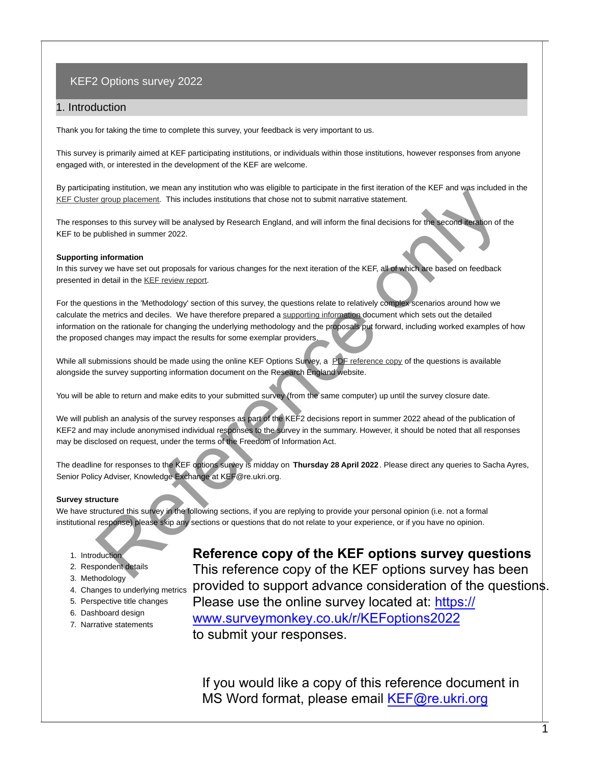#### 1. Introduction

Thank you for taking the time to complete this survey, your feedback is very important to us.

This survey is primarily aimed at KEF participating institutions, or individuals within those institutions, however responses from anyone engaged with, or interested in the development of the KEF are welcome.

By participating institution, we mean any institution who was eligible to participate in the first iteration of the KEF and was included in the [KEF Cluster group placement](https://webarchive.nationalarchives.gov.uk/ukgwa/20210802101942/https://re.ukri.org/sector-guidance/publications/knowledge-exchange-framework-clustering-and-narrative-templates/). This includes institutions that chose not to submit narrative statement.

The responses to this survey will be analysed by Research England, and will inform the final decisions for the second iteration of the KEF to be published in summer 2022.

#### **Supporting information**

In this survey we have set out proposals for various changes for the next iteration of the KEF, all of which are based on feedback presented in detail in the KEF review report.

For the questions in the 'Methodology' section of this survey, the questions relate to relatively complex scenarios around how we calculate the metrics and deciles. We have therefore prepared a supporting information document which sets out the detailed information on the rationale for changing the underlying methodology and the proposals put forward, including worked examples of how the proposed changes may impact the results for some exemplar providers. entry worselve with the magnitude summative states and the magnitude of the KEF options survey in the magnitude of the state of this survey will be analysed by Research England, and will inform the final decisions for the

While all submissions should be made using the online KEF Options Survey, a PDF reference copy of the questions is available alongside the survey supporting information document on the Research England website.

You will be able to return and make edits to your submitted survey (from the same computer) up until the survey closure date.

We will publish an analysis of the survey responses as part of the KEF2 decisions report in summer 2022 ahead of the publication of KEF2 and may include anonymised individual responses to the survey in the summary. However, it should be noted that all responses may be disclosed on request, under the terms of the Freedom of Information Act.

The deadline for responses to the KEF options survey is midday on **Thursday 28 April 2022**. Please direct any queries to Sacha Ayres, Senior Policy Adviser, Knowledge Exchange at KEF@re.ukri.org.

#### **Survey structure**

We have structured this survey in the following sections, if you are replying to provide your personal opinion (i.e. not a formal institutional response) please skip any sections or questions that do not relate to your experience, or if you have no opinion.

1. Introduction

- 2. Respondent details
- 3. Methodology
- 
- 5. Perspective title changes
- 6. Dashboard design
- 7. Narrative statements

**Reference copy of the KEF options survey questions** 

4. Changes to underlying metrics **provided to support advance consideration of the questions.** This reference copy of the KEF options survey has been Please use the online survey located at: https:// www.surveymonkey.co.uk/r/KEFoptions2022 to submit your responses.

> If you would like a copy of this reference document in MS Word format, please email KEF@re.ukri.org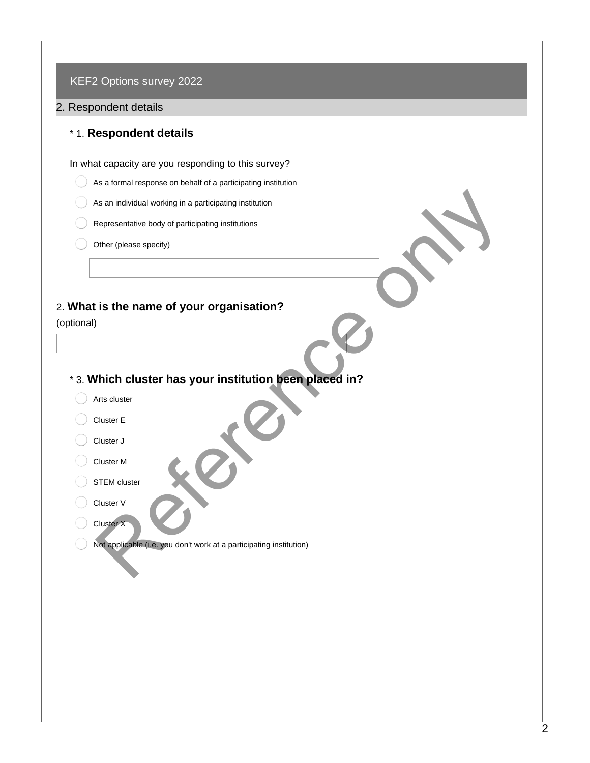#### 2. Respondent details

## \* 1. **Respondent details**

In what capacity are you responding to this survey?

- As a formal response on behalf of a participating institution
- As an individual working in a participating institution
- Representative body of participating institutions
- Other (please specify)

# 2. **What is the name of your organisation?**

(optional)

- \* 3. **Which cluster has your institution been placed in?** As an individual working in a participating institution<br>Representative body of participating institutions<br>Differ (please specify)<br>Is is the name of your organisation?<br>And the cluster has your institution been placed in?<br>Re
	- Arts cluster
	- Cluster E
	- Cluster J
	- Cluster M
	- STEM cluster
	- Cluster V
	- Cluster X
	- Not applicable (i.e. you don't work at a participating institution)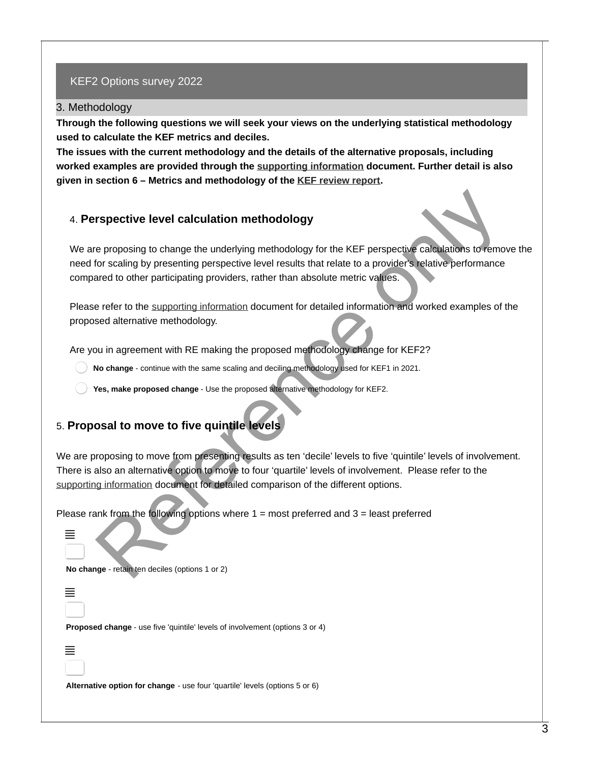#### 3. Methodology

**Through the following questions we will seek your views on the underlying statistical methodology used to calculate the KEF metrics and deciles.** 

**The issues with the current methodology and the details of the alternative proposals, including worked examples are provided through the [supporting information](https://www.ukri.org/our-work/supporting-collaboration-in-the-uk/supporting-collaboration-research-england/knowledge-exchange-framework/) document. Further detail is also given in section 6 – Metrics and methodology of the [KEF review report](https://www.ukri.org/publications/review-of-the-first-iteration-of-the-knowledge-exchange-framework/).** 

#### 4. **Perspective level calculation methodology**

We are proposing to change the underlying methodology for the KEF perspective calculations to remove the need for scaling by presenting perspective level results that relate to a provider's relative performance compared to other participating providers, rather than absolute metric values. respective level calculation methodology<br>
e proposing to change the underlying methodology<br>
for scaling by presenting perspective level results that relate to a provider's leaduelations to remote<br>
for scaling by presenting

Please refer to the supporting information document for detailed information and worked examples of the proposed alternative methodology.

Are you in agreement with RE making the proposed methodology change for KEF2?

**No change** - continue with the same scaling and deciling methodology used for KEF1 in 2021.

**Yes, make proposed change** - Use the proposed alternative methodology for KEF2.

# 5. **Proposal to move to five quintile levels**

We are proposing to move from presenting results as ten 'decile' levels to five 'quintile' levels of involvement. There is also an alternative option to move to four 'quartile' levels of involvement. Please refer to the [supporting information](https://www.ukri.org/our-work/supporting-collaboration-in-the-uk/supporting-collaboration-research-england/knowledge-exchange-framework/) document for detailed comparison of the different options.

Please rank from the following options where  $1 =$  most preferred and  $3 =$  least preferred

**No change** - retain ten deciles (options 1 or 2)

´

≣

**Proposed change** - use five 'quintile' levels of involvement (options 3 or 4)

# ´

**Alternative option for change** - use four 'quartile' levels (options 5 or 6)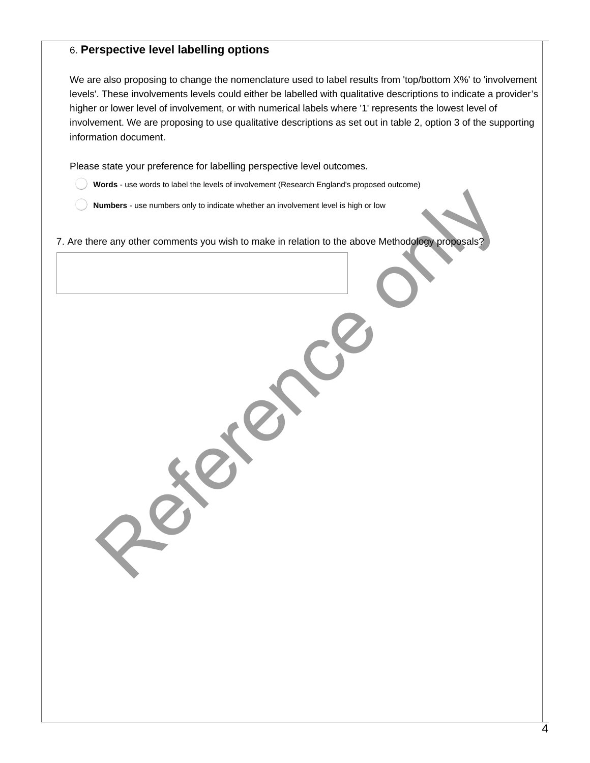### 6. **Perspective level labelling options**

We are also proposing to change the nomenclature used to label results from 'top/bottom X%' to 'involvement levels'. These involvements levels could either be labelled with qualitative descriptions to indicate a provider's higher or lower level of involvement, or with numerical labels where '1' represents the lowest level of involvement. We are proposing to use qualitative descriptions as set out in table 2, option 3 of the supporting information document.

Please state your preference for labelling perspective level outcomes.

- **Words** use words to label the levels of involvement (Research England's proposed outcome)
- **Numbers** use numbers only to indicate whether an involvement level is high or low

7. Are there any other comments you wish to make in relation to the above Methodology proposals? Numbers - use numbers only to indicate whether an involvement level is high or low<br>are any other comments you wish to make in relation to the above Methodology proposals?<br>And the comments you wish to make in relation to th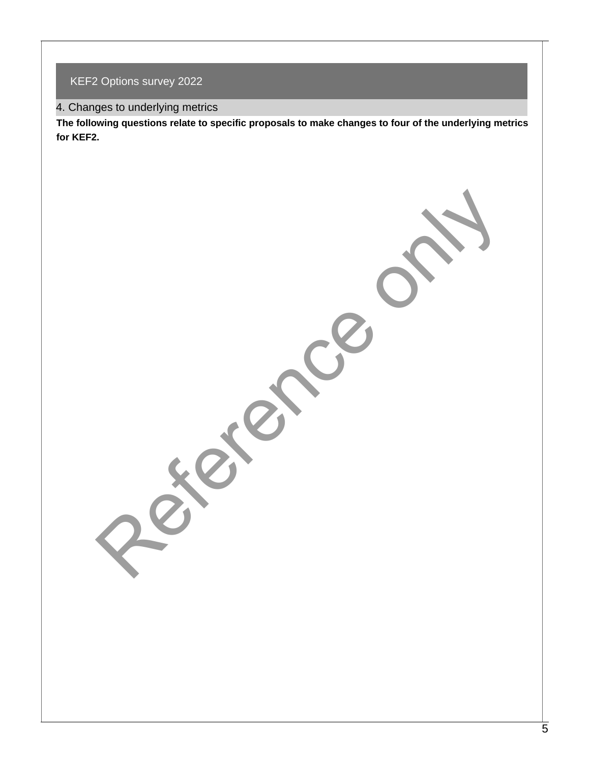4. Changes to underlying metrics

**The following questions relate to specific proposals to make changes to four of the underlying metrics for KEF2.**

Pererce only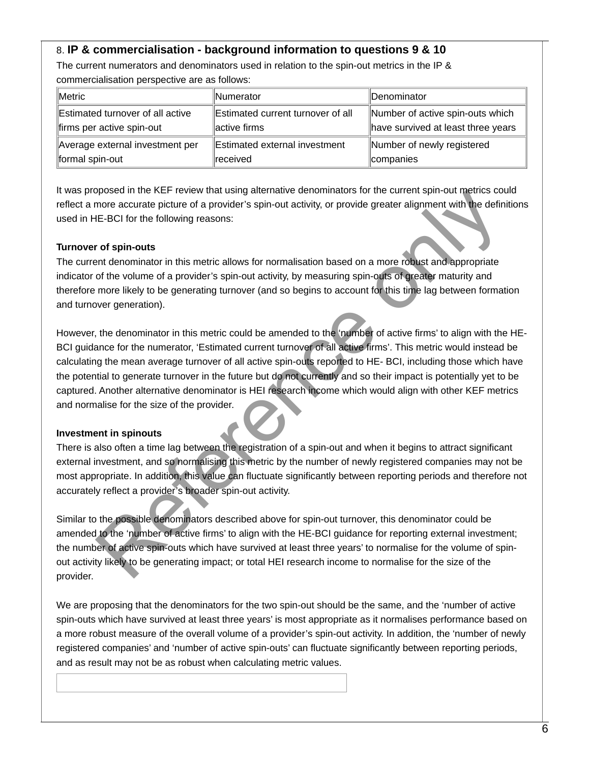# 8. **IP & commercialisation - background information to questions 9 & 10**

The current numerators and denominators used in relation to the spin-out metrics in the IP & commercialisation perspective are as follows:

| <b>Metric</b>                    | <b>Numerator</b>                  | Denominator                        |
|----------------------------------|-----------------------------------|------------------------------------|
| Estimated turnover of all active | Estimated current turnover of all | Number of active spin-outs which   |
| firms per active spin-out        | active firms                      | have survived at least three years |
| Average external investment per  | Estimated external investment     | Number of newly registered         |
| formal spin-out                  | received                          | ∥companies                         |

It was proposed in the KEF review that using alternative denominators for the current spin-out metrics could reflect a more accurate picture of a provider's spin-out activity, or provide greater alignment with the definitions used in HE-BCI for the following reasons:

#### **Turnover of spin-outs**

The current denominator in this metric allows for normalisation based on a more robust and appropriate indicator of the volume of a provider's spin-out activity, by measuring spin-outs of greater maturity and therefore more likely to be generating turnover (and so begins to account for this time lag between formation and turnover generation).

However, the denominator in this metric could be amended to the 'number of active firms' to align with the HE-BCI guidance for the numerator, 'Estimated current turnover of all active firms'. This metric would instead be calculating the mean average turnover of all active spin-outs reported to HE- BCI, including those which have the potential to generate turnover in the future but do not currently and so their impact is potentially yet to be captured. Another alternative denominator is HEI research income which would align with other KEF metrics and normalise for the size of the provider. able and the KE-Ferric Wind tamp all email and the HE-BCI guidance for the commission of the section of the section of the section of the section of the section of the section of the section of the section of the definitio

#### **Investment in spinouts**

There is also often a time lag between the registration of a spin-out and when it begins to attract significant external investment, and so normalising this metric by the number of newly registered companies may not be most appropriate. In addition, this value can fluctuate significantly between reporting periods and therefore not accurately reflect a provider's broader spin-out activity.

Similar to the possible denominators described above for spin-out turnover, this denominator could be amended to the 'number of active firms' to align with the HE-BCI guidance for reporting external investment; the number of active spin-outs which have survived at least three years' to normalise for the volume of spinout activity likely to be generating impact; or total HEI research income to normalise for the size of the provider.

We are proposing that the denominators for the two spin-out should be the same, and the 'number of active spin-outs which have survived at least three years' is most appropriate as it normalises performance based on a more robust measure of the overall volume of a provider's spin-out activity. In addition, the 'number of newly registered companies' and 'number of active spin-outs' can fluctuate significantly between reporting periods, and as result may not be as robust when calculating metric values.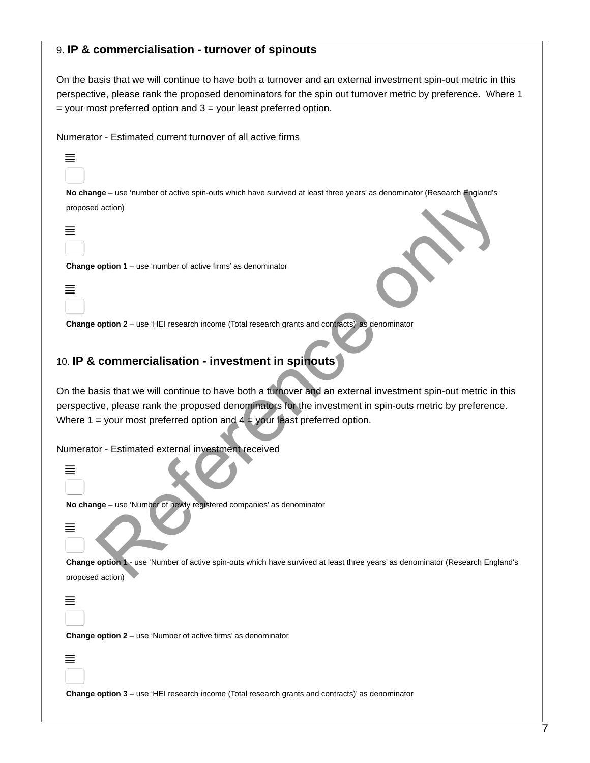#### 9. **IP & commercialisation - turnover of spinouts**

On the basis that we will continue to have both a turnover and an external investment spin-out metric in this perspective, please rank the proposed denominators for the spin out turnover metric by preference. Where 1 = your most preferred option and 3 = your least preferred option.

Numerator - Estimated current turnover of all active firms

**No change** – use 'number of active spin-outs which have survived at least three years' as denominator (Research England's proposed action)



´

**Change option 1** – use 'number of active firms' as denominator



**Change option 2** – use 'HEI research income (Total research grants and contracts)' as denominator

#### 10. **IP & commercialisation - investment in spinouts**

On the basis that we will continue to have both a turnover and an external investment spin-out metric in this perspective, please rank the proposed denominators for the investment in spin-outs metric by preference. Where  $1 =$  your most preferred option and  $4 =$  your least preferred option. right use "humber of active spin-auts which have survived at least three years' as denominator (Research England's<br>
action)<br>
option 1 – use "HEI research income (Total research grants and connection)<br>
option 1 – use "HEI r

Numerator - Estimated external investment received



**No change** – use 'Number of newly registered companies' as denominator



**Change option 1** - use 'Number of active spin-outs which have survived at least three years' as denominator (Research England's proposed action)

´

≡

**Change option 2** – use 'Number of active firms' as denominator

**Change option 3** – use 'HEI research income (Total research grants and contracts)' as denominator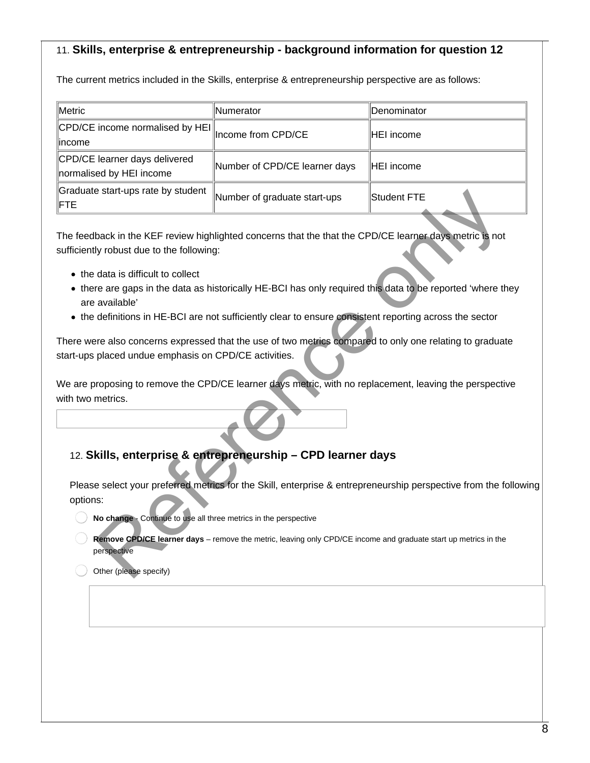# 11. **Skills, enterprise & entrepreneurship - background information for question 12**

The current metrics included in the Skills, enterprise & entrepreneurship perspective are as follows:

| Metric                                                               | <b>Numerator</b>              | ∥Denominator |
|----------------------------------------------------------------------|-------------------------------|--------------|
| CPD/CE income normalised by HEI   <br> Income from CPD/CE<br>∥income |                               | HEI income   |
| CPD/CE learner days delivered<br>normalised by HEI income            | Number of CPD/CE learner days | HEI income   |
| Graduate start-ups rate by student<br>IFTE.                          | Number of graduate start-ups  | Student FTE  |

The feedback in the KEF review highlighted concerns that the that the CPD/CE learner days metric is not sufficiently robust due to the following: Start-ups rate by student<br>
Start-ups<br>
Start-ups<br>
Hack in the KEF review highlighted concerns that the that the CPD/CE learner days metric is not<br>
y robust due to the following:<br>
data is difficult to collect<br>
reare also con

- the data is difficult to collect
- there are gaps in the data as historically HE-BCI has only required this data to be reported 'where they are available'
- the definitions in HE-BCI are not sufficiently clear to ensure consistent reporting across the sector

There were also concerns expressed that the use of two metrics compared to only one relating to graduate start-ups placed undue emphasis on CPD/CE activities.

We are proposing to remove the CPD/CE learner days metric, with no replacement, leaving the perspective with two metrics.

# 12. **Skills, enterprise & entrepreneurship – CPD learner days**

Please select your preferred metrics for the Skill, enterprise & entrepreneurship perspective from the following options:

- **No change** Continue to use all three metrics in the perspective
- **Remove CPD/CE learner days** remove the metric, leaving only CPD/CE income and graduate start up metrics in the perspective

Other (please specify)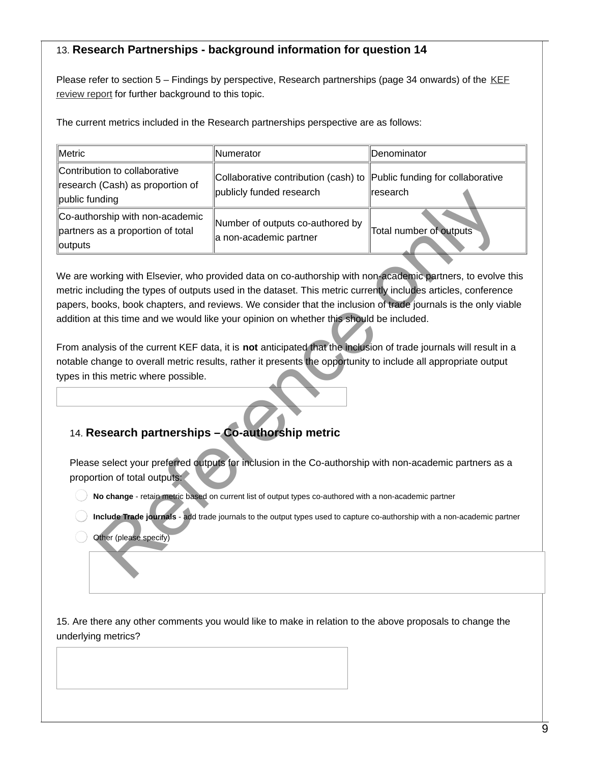# 13. **Research Partnerships - background information for question 14**

[Please refer to section 5 – Findings by perspective, Research partnerships \(page 34 onwards\) of the KEF](https://www.ukri.org/publications/review-of-the-first-iteration-of-the-knowledge-exchange-framework/) review report for further background to this topic.

The current metrics included in the Research partnerships perspective are as follows:

| Metric                                                                                                                                                                                                                                                                                                                                                                                                                                                                                                                                                                                                                                                                                                                                                                          | Numerator                                                                                                                 | Denominator                                  |
|---------------------------------------------------------------------------------------------------------------------------------------------------------------------------------------------------------------------------------------------------------------------------------------------------------------------------------------------------------------------------------------------------------------------------------------------------------------------------------------------------------------------------------------------------------------------------------------------------------------------------------------------------------------------------------------------------------------------------------------------------------------------------------|---------------------------------------------------------------------------------------------------------------------------|----------------------------------------------|
| Contribution to collaborative<br>research (Cash) as proportion of<br>public funding                                                                                                                                                                                                                                                                                                                                                                                                                                                                                                                                                                                                                                                                                             | Collaborative contribution (cash) to<br>publicly funded research                                                          | Public funding for collaborative<br>research |
| Co-authorship with non-academic<br>partners as a proportion of total<br>outputs                                                                                                                                                                                                                                                                                                                                                                                                                                                                                                                                                                                                                                                                                                 | Number of outputs co-authored by<br>a non-academic partner                                                                | Total number of outputs                      |
| We are working with Elsevier, who provided data on co-authorship with non-academic partners, to evolve this<br>metric including the types of outputs used in the dataset. This metric currently includes articles, conference<br>papers, books, book chapters, and reviews. We consider that the inclusion of trade journals is the only viable<br>addition at this time and we would like your opinion on whether this should be included.<br>From analysis of the current KEF data, it is not anticipated that the inclusion of trade journals will result in a<br>notable change to overall metric results, rather it presents the opportunity to include all appropriate output<br>types in this metric where possible.<br>14. Research partnerships - Co-authorship metric |                                                                                                                           |                                              |
| proportion of total outputs:                                                                                                                                                                                                                                                                                                                                                                                                                                                                                                                                                                                                                                                                                                                                                    | Please select your preferred outputs for inclusion in the Co-authorship with non-academic partners as a                   |                                              |
|                                                                                                                                                                                                                                                                                                                                                                                                                                                                                                                                                                                                                                                                                                                                                                                 | No change - retain metric based on current list of output types co-authored with a non-academic partner                   |                                              |
| Other (please specify)                                                                                                                                                                                                                                                                                                                                                                                                                                                                                                                                                                                                                                                                                                                                                          | Include Trade journals - add trade journals to the output types used to capture co-authorship with a non-academic partner |                                              |
|                                                                                                                                                                                                                                                                                                                                                                                                                                                                                                                                                                                                                                                                                                                                                                                 |                                                                                                                           |                                              |

# 14. **Research partnerships – Co-authorship metric**

15. Are there any other comments you would like to make in relation to the above proposals to change the underlying metrics?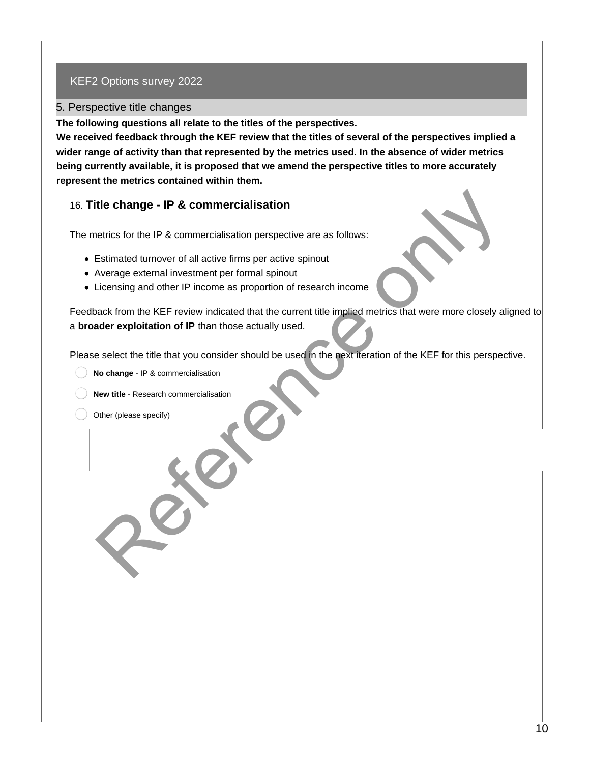#### 5. Perspective title changes

**The following questions all relate to the titles of the perspectives.** 

**We received feedback through the KEF review that the titles of several of the perspectives implied a wider range of activity than that represented by the metrics used. In the absence of wider metrics being currently available, it is proposed that we amend the perspective titles to more accurately represent the metrics contained within them.**

# 16. **Title change - IP & commercialisation**

The metrics for the IP & commercialisation perspective are as follows:

- Estimated turnover of all active firms per active spinout
- Average external investment per formal spinout
- Licensing and other IP income as proportion of research income

Feedback from the KEF review indicated that the current title implied metrics that were more closely aligned to a **broader exploitation of IP** than those actually used. the change - IP & commercialisation<br>
eleting for the IP & commercialisation perspective are as follows:<br>
Estimated turnover of all active firms per active spinout<br>
Werence external investment per formal spinout<br>
Werence ex

Please select the title that you consider should be used in the next iteration of the KEF for this perspective.

- **No change** IP & commercialisation
- **New title** Research commercialisation
- Other (please specify)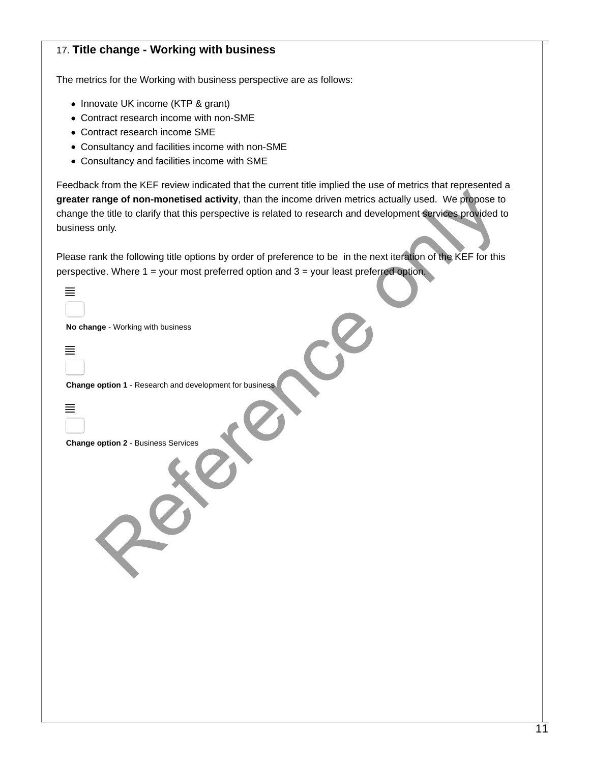# 17. **Title change - Working with business**

The metrics for the Working with business perspective are as follows:

- Innovate UK income (KTP & grant)
- Contract research income with non-SME
- Contract research income SME
- Consultancy and facilities income with non-SME
- Consultancy and facilities income with SME

Feedback from the KEF review indicated that the current title implied the use of metrics that represented a **greater range of non-monetised activity**, than the income driven metrics actually used. We propose to change the title to clarify that this perspective is related to research and development services provided to business only.

| greater range of non-monetised activity, than the income driven metrics actually used. We propose to<br>change the title to clarify that this perspective is related to research and development services provided to<br>business only. |
|-----------------------------------------------------------------------------------------------------------------------------------------------------------------------------------------------------------------------------------------|
| Please rank the following title options by order of preference to be in the next iteration of the KEF for this<br>perspective. Where 1 = your most preferred option and 3 = your least preferred option.                                |
| 亖                                                                                                                                                                                                                                       |
| No change - Working with business<br>亖                                                                                                                                                                                                  |
| Change option 1 - Research and development for business                                                                                                                                                                                 |
| ≣<br>Change option 2 - Business Services                                                                                                                                                                                                |
|                                                                                                                                                                                                                                         |
|                                                                                                                                                                                                                                         |
|                                                                                                                                                                                                                                         |
|                                                                                                                                                                                                                                         |
|                                                                                                                                                                                                                                         |
|                                                                                                                                                                                                                                         |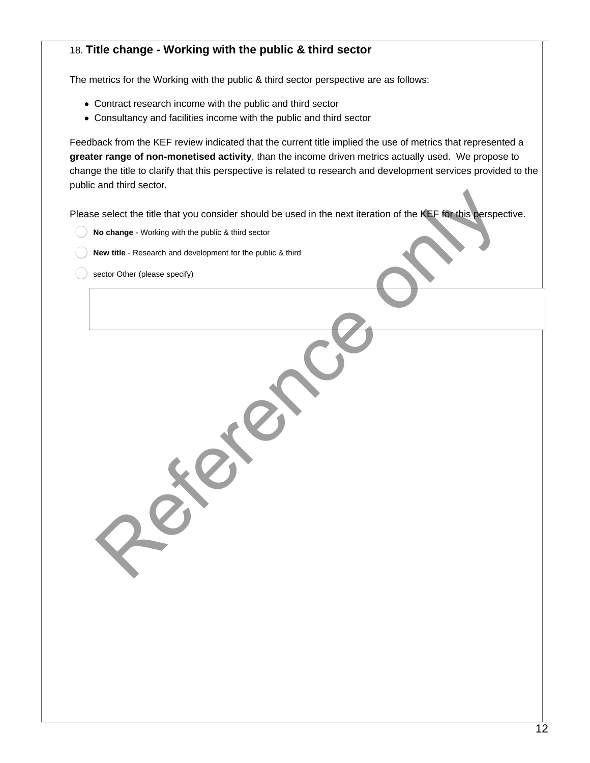# 18. **Title change - Working with the public & third sector**

The metrics for the Working with the public & third sector perspective are as follows:

- Contract research income with the public and third sector
- Consultancy and facilities income with the public and third sector

Feedback from the KEF review indicated that the current title implied the use of metrics that represented a **greater range of non-monetised activity**, than the income driven metrics actually used. We propose to change the title to clarify that this perspective is related to research and development services provided to the public and third sector.

Please select the title that you consider should be used in the next iteration of the KEF for this perspective. e select the title that you consider should be used in the next iteration of the KEF for this perspection and development for the public & third<br>No change - Working with the public & third<br>even title - Research and develop

- **No change** Working with the public & third sector
- **New title** Research and development for the public & third
- sector Other (please specify)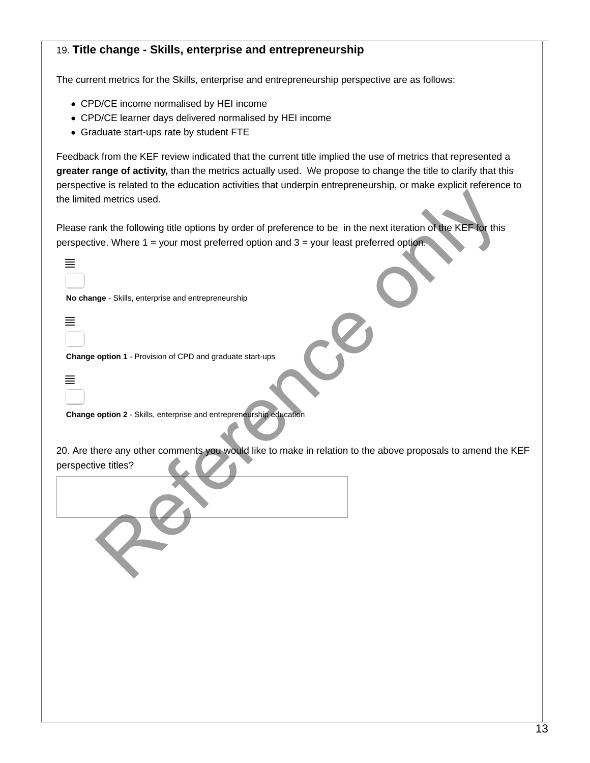## 19. **Title change - Skills, enterprise and entrepreneurship**

The current metrics for the Skills, enterprise and entrepreneurship perspective are as follows:

- CPD/CE income normalised by HEI income
- CPD/CE learner days delivered normalised by HEI income
- Graduate start-ups rate by student FTE

Feedback from the KEF review indicated that the current title implied the use of metrics that represented a **greater range of activity,** than the metrics actually used. We propose to change the title to clarify that this perspective is related to the education activities that underpin entrepreneurship, or make explicit reference to the limited metrics used.

Please rank the following title options by order of preference to be in the next iteration of the KEF for this perspective. Where 1 = your most preferred option and 3 = your least preferred option. d metrics used.<br>
Ink the following title options by order of preference to be in the next iteration of the KEF-Tor this<br>
ve. Where 1 = your most preferred option and 3 = your least preferred option.<br>
Inge-Skills, enterpris

|     | No change - Skills, enterprise and entrepreneurship |
|-----|-----------------------------------------------------|
|     |                                                     |
| $=$ |                                                     |
|     |                                                     |
|     | Change antian 1 Dravision of CDD and graduate a     |

 $\equiv$ 

≣

**Change option 1** - Provision of CPD and graduate start-ups

**Change option 2** - Skills, enterprise and entrepreneurship education

20. Are there any other comments you would like to make in relation to the above proposals to amend the KEF perspective titles?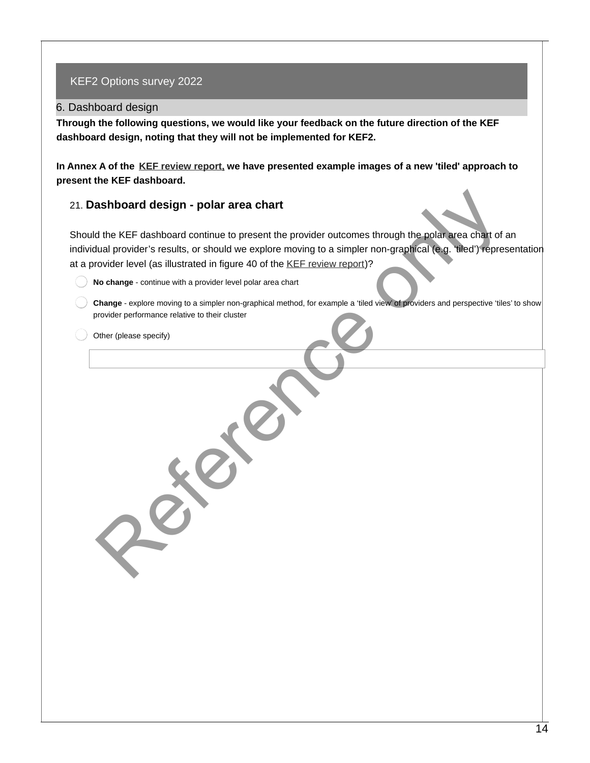#### 6. Dashboard design

**Through the following questions, we would like your feedback on the future direction of the KEF dashboard design, noting that they will not be implemented for KEF2.**

**In Annex A of the [KEF review report,](https://www.ukri.org/wp-content/uploads/2022/02/RE-030222-KEFReviewReport.pdf) we have presented example images of a new 'tiled' approach to present the KEF dashboard.** 

#### 21. **Dashboard design - polar area chart**

Should the KEF dashboard continue to present the provider outcomes through the polar area chart of an individual provider's results, or should we explore moving to a simpler non-graphical (e.g. 'tiled') representation at a provider level (as illustrated in figure 40 of the KEF review report)? ashboard design - polar area chart<br>
d the KEF dashboard continue to present the provider outcomes through the polar area chart of<br>
tual provider sresults, or should we explore moving to a simpler non-graphical (e.g. (filed

**No change** - continue with a provider level polar area chart

**Change** - explore moving to a simpler non-graphical method, for example a 'tiled view' of providers and perspective 'tiles' to show provider performance relative to their cluster

Other (please specify)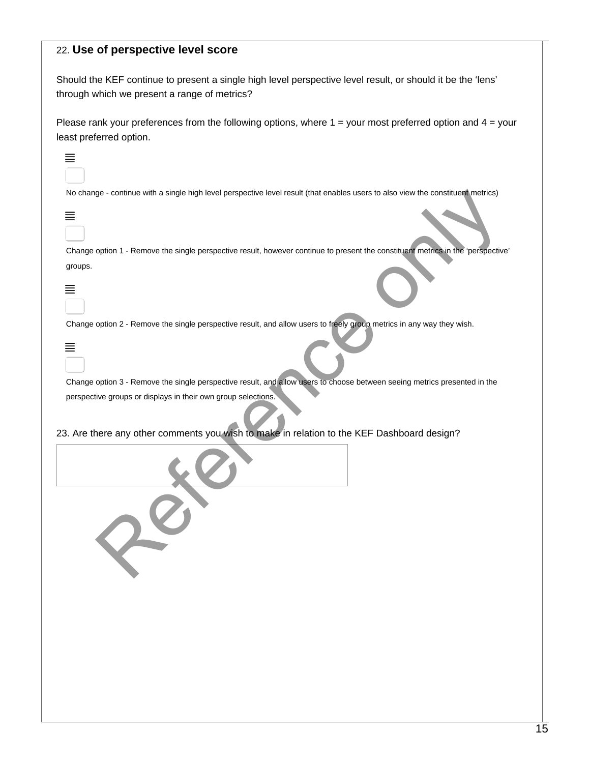#### 22. **Use of perspective level score**

Should the KEF continue to present a single high level perspective level result, or should it be the 'lens' through which we present a range of metrics?

Please rank your preferences from the following options, where  $1 =$  your most preferred option and  $4 =$  your least preferred option.

|  |  | No change - continue with a single high level perspective level result (that enables users to also view the constituent metrics) |  |
|--|--|----------------------------------------------------------------------------------------------------------------------------------|--|
|  |  |                                                                                                                                  |  |
|  |  |                                                                                                                                  |  |
|  |  |                                                                                                                                  |  |

| No change - continue with a single high level perspective level result (that enables users to also view the constituent metrics)                          |
|-----------------------------------------------------------------------------------------------------------------------------------------------------------|
|                                                                                                                                                           |
| Change option 1 - Remove the single perspective result, however continue to present the constituent metrics in the 'perspective'                          |
| groups.                                                                                                                                                   |
| Change option 2 - Remove the single perspective result, and allow users to freely group metrics in any way they wish.                                     |
| Change option 3 - Remove the single perspective result, and allow users to choose between seeing metrics presented in the                                 |
| perspective groups or displays in their own group selections.<br>. Are there any other comments you wish to make in relation to the KEF Dashboard design? |
|                                                                                                                                                           |
|                                                                                                                                                           |

≡

 $\equiv$ 

 $\equiv$ 

| ___<br>__ |  |  |
|-----------|--|--|
| __        |  |  |
|           |  |  |
|           |  |  |
|           |  |  |
|           |  |  |

## 23. Are there any other comments you wish to make in relation to the KEF Dashboard design?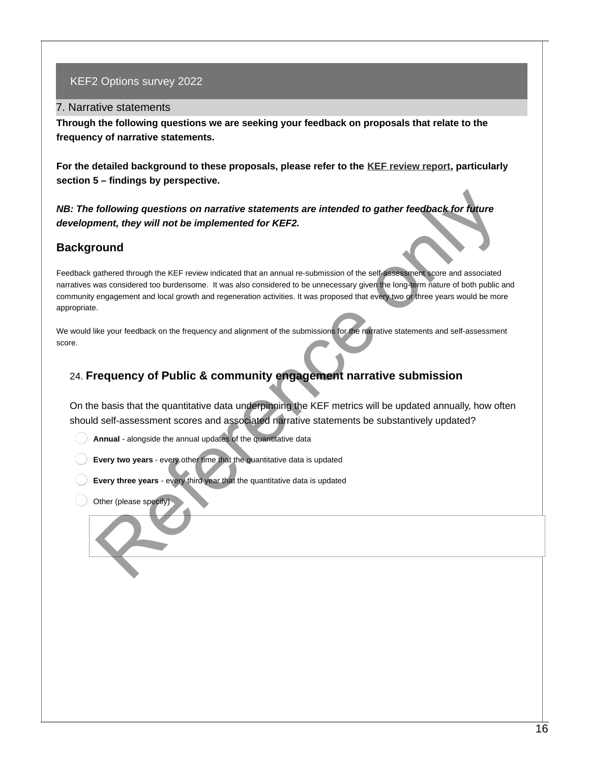#### 7. Narrative statements

**Through the following questions we are seeking your feedback on proposals that relate to the frequency of narrative statements.** 

**For the detailed background to these proposals, please refer to the [KEF review report](https://www.ukri.org/wp-content/uploads/2022/02/RE-030222-KEFReviewReport.pdf), particularly section 5 – findings by perspective.**

*NB: The following questions on narrative statements are intended to gather feedback for future development, they will not be implemented for KEF2.*

## **Background**

Feedback gathered through the KEF review indicated that an annual re-submission of the self-assessment score and associated narratives was considered too burdensome. It was also considered to be unnecessary given the long-term nature of both public and community engagement and local growth and regeneration activities. It was proposed that every two or three years would be more appropriate. following questions on narrative statements are intended to gather feedback for future<br>ment, they will not be implemented for KEF2.<br>
Ound<br>
Mantered through the KEF review indicated that an amund re-submission of the self-s

We would like your feedback on the frequency and alignment of the submissions for the narrative statements and self-assessment score.

# 24. **Frequency of Public & community engagement narrative submission**

On the basis that the quantitative data underpinning the KEF metrics will be updated annually, how often should self-assessment scores and associated narrative statements be substantively updated?

**Annual** - alongside the annual updates of the quantitative data

**Every two years** - every other time that the quantitative data is updated

**Every three years** - every third year that the quantitative data is updated

Other (please specify)